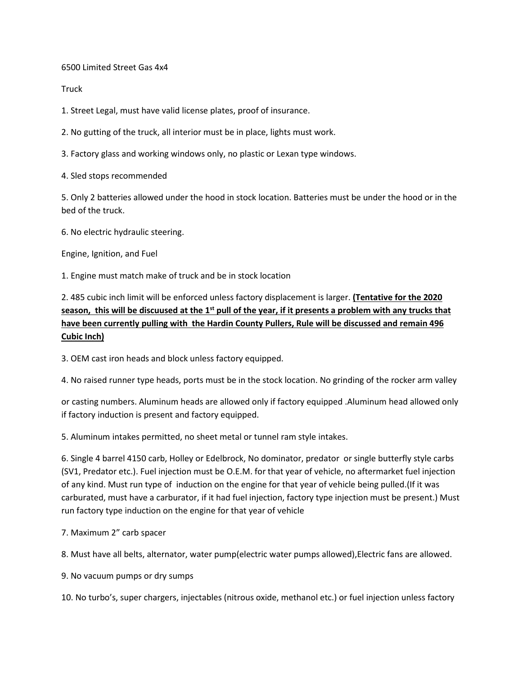6500 Limited Street Gas 4x4

**Truck** 

1. Street Legal, must have valid license plates, proof of insurance.

2. No gutting of the truck, all interior must be in place, lights must work.

3. Factory glass and working windows only, no plastic or Lexan type windows.

4. Sled stops recommended

5. Only 2 batteries allowed under the hood in stock location. Batteries must be under the hood or in the bed of the truck.

6. No electric hydraulic steering.

Engine, Ignition, and Fuel

1. Engine must match make of truck and be in stock location

2. 485 cubic inch limit will be enforced unless factory displacement is larger. **(Tentative for the 2020 season, this will be discuused at the 1st pull of the year, if it presents a problem with any trucks that have been currently pulling with the Hardin County Pullers, Rule will be discussed and remain 496 Cubic Inch)**

3. OEM cast iron heads and block unless factory equipped.

4. No raised runner type heads, ports must be in the stock location. No grinding of the rocker arm valley

or casting numbers. Aluminum heads are allowed only if factory equipped .Aluminum head allowed only if factory induction is present and factory equipped.

5. Aluminum intakes permitted, no sheet metal or tunnel ram style intakes.

6. Single 4 barrel 4150 carb, Holley or Edelbrock, No dominator, predator or single butterfly style carbs (SV1, Predator etc.). Fuel injection must be O.E.M. for that year of vehicle, no aftermarket fuel injection of any kind. Must run type of induction on the engine for that year of vehicle being pulled.(If it was carburated, must have a carburator, if it had fuel injection, factory type injection must be present.) Must run factory type induction on the engine for that year of vehicle

7. Maximum 2" carb spacer

8. Must have all belts, alternator, water pump(electric water pumps allowed),Electric fans are allowed.

9. No vacuum pumps or dry sumps

10. No turbo's, super chargers, injectables (nitrous oxide, methanol etc.) or fuel injection unless factory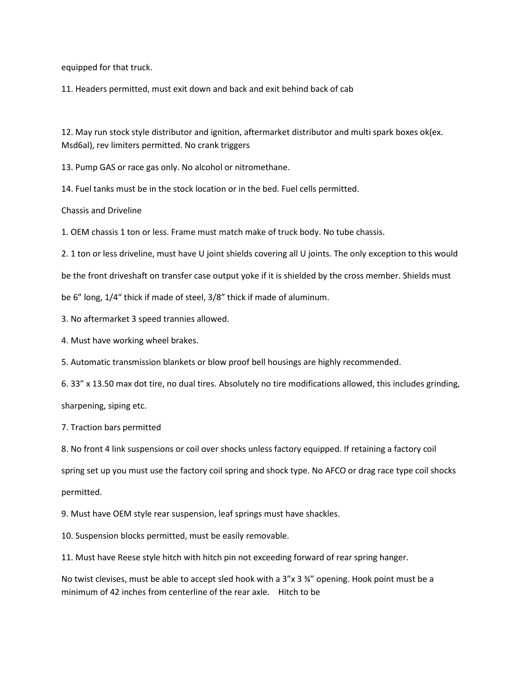equipped for that truck.

11. Headers permitted, must exit down and back and exit behind back of cab

12. May run stock style distributor and ignition, aftermarket distributor and multi spark boxes ok(ex. Msd6al), rev limiters permitted. No crank triggers

13. Pump GAS or race gas only. No alcohol or nitromethane.

14. Fuel tanks must be in the stock location or in the bed. Fuel cells permitted.

Chassis and Driveline

1. OEM chassis 1 ton or less. Frame must match make of truck body. No tube chassis.

2. 1 ton or less driveline, must have U joint shields covering all U joints. The only exception to this would

be the front driveshaft on transfer case output yoke if it is shielded by the cross member. Shields must

be 6" long, 1/4" thick if made of steel, 3/8" thick if made of aluminum.

3. No aftermarket 3 speed trannies allowed.

4. Must have working wheel brakes.

5. Automatic transmission blankets or blow proof bell housings are highly recommended.

6. 33" x 13.50 max dot tire, no dual tires. Absolutely no tire modifications allowed, this includes grinding, sharpening, siping etc.

7. Traction bars permitted

8. No front 4 link suspensions or coil over shocks unless factory equipped. If retaining a factory coil spring set up you must use the factory coil spring and shock type. No AFCO or drag race type coil shocks permitted.

9. Must have OEM style rear suspension, leaf springs must have shackles.

10. Suspension blocks permitted, must be easily removable.

11. Must have Reese style hitch with hitch pin not exceeding forward of rear spring hanger.

No twist clevises, must be able to accept sled hook with a  $3'' \times 3 \frac{34''}{2}$  opening. Hook point must be a minimum of 42 inches from centerline of the rear axle. Hitch to be